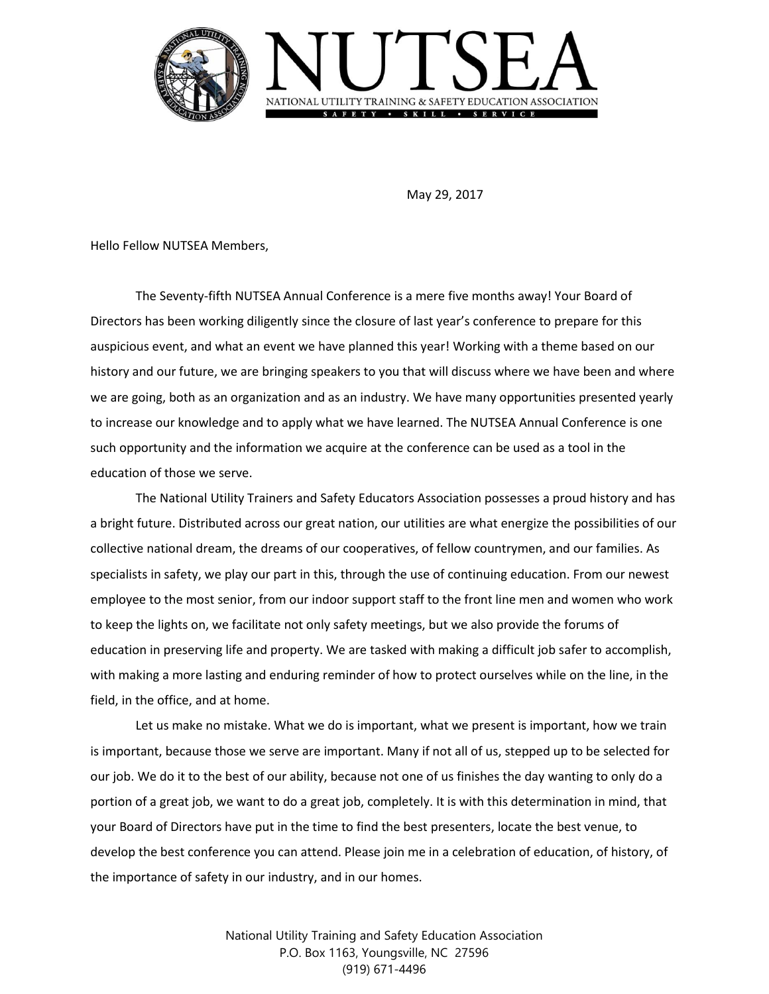

May 29, 2017

Hello Fellow NUTSEA Members,

The Seventy-fifth NUTSEA Annual Conference is a mere five months away! Your Board of Directors has been working diligently since the closure of last year's conference to prepare for this auspicious event, and what an event we have planned this year! Working with a theme based on our history and our future, we are bringing speakers to you that will discuss where we have been and where we are going, both as an organization and as an industry. We have many opportunities presented yearly to increase our knowledge and to apply what we have learned. The NUTSEA Annual Conference is one such opportunity and the information we acquire at the conference can be used as a tool in the education of those we serve.

The National Utility Trainers and Safety Educators Association possesses a proud history and has a bright future. Distributed across our great nation, our utilities are what energize the possibilities of our collective national dream, the dreams of our cooperatives, of fellow countrymen, and our families. As specialists in safety, we play our part in this, through the use of continuing education. From our newest employee to the most senior, from our indoor support staff to the front line men and women who work to keep the lights on, we facilitate not only safety meetings, but we also provide the forums of education in preserving life and property. We are tasked with making a difficult job safer to accomplish, with making a more lasting and enduring reminder of how to protect ourselves while on the line, in the field, in the office, and at home.

Let us make no mistake. What we do is important, what we present is important, how we train is important, because those we serve are important. Many if not all of us, stepped up to be selected for our job. We do it to the best of our ability, because not one of us finishes the day wanting to only do a portion of a great job, we want to do a great job, completely. It is with this determination in mind, that your Board of Directors have put in the time to find the best presenters, locate the best venue, to develop the best conference you can attend. Please join me in a celebration of education, of history, of the importance of safety in our industry, and in our homes.

> National Utility Training and Safety Education Association P.O. Box 1163, Youngsville, NC 27596 (919) 671-4496